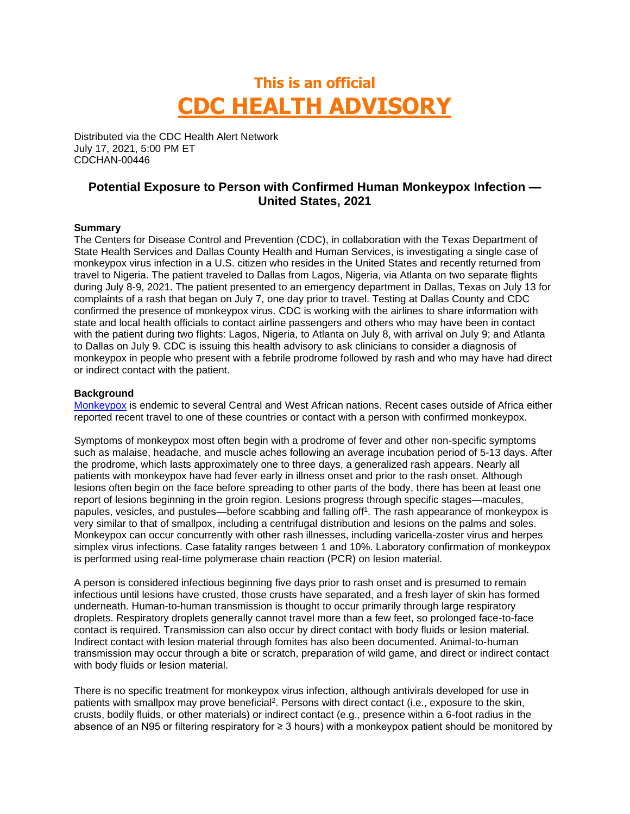# **This is an official CDC HEALTH ADVISORY**

Distributed via the CDC Health Alert Network July 17, 2021, 5:00 PM ET CDCHAN-00446

## **Potential Exposure to Person with Confirmed Human Monkeypox Infection — United States, 2021**

### **Summary**

The Centers for Disease Control and Prevention (CDC), in collaboration with the Texas Department of State Health Services and Dallas County Health and Human Services, is investigating a single case of monkeypox virus infection in a U.S. citizen who resides in the United States and recently returned from travel to Nigeria. The patient traveled to Dallas from Lagos, Nigeria, via Atlanta on two separate flights during July 8-9, 2021. The patient presented to an emergency department in Dallas, Texas on July 13 for complaints of a rash that began on July 7, one day prior to travel. Testing at Dallas County and CDC confirmed the presence of monkeypox virus. CDC is working with the airlines to share information with state and local health officials to contact airline passengers and others who may have been in contact with the patient during two flights: Lagos, Nigeria, to Atlanta on July 8, with arrival on July 9; and Atlanta to Dallas on July 9. CDC is issuing this health advisory to ask clinicians to consider a diagnosis of monkeypox in people who present with a febrile prodrome followed by rash and who may have had direct or indirect contact with the patient.

#### **Background**

[Monkeypox](https://www.cdc.gov/poxvirus/monkeypox/) is endemic to several Central and West African nations. Recent cases outside of Africa either reported recent travel to one of these countries or contact with a person with confirmed monkeypox.

Symptoms of monkeypox most often begin with a prodrome of fever and other non-specific symptoms such as malaise, headache, and muscle aches following an average incubation period of 5-13 days. After the prodrome, which lasts approximately one to three days, a generalized rash appears. Nearly all patients with monkeypox have had fever early in illness onset and prior to the rash onset. Although lesions often begin on the face before spreading to other parts of the body, there has been at least one report of lesions beginning in the groin region. Lesions progress through specific stages—macules, papules, vesicles, and pustules—before scabbing and falling off<sup>1</sup>. The rash appearance of monkeypox is very similar to that of smallpox, including a centrifugal distribution and lesions on the palms and soles. Monkeypox can occur concurrently with other rash illnesses, including varicella-zoster virus and herpes simplex virus infections. Case fatality ranges between 1 and 10%. Laboratory confirmation of monkeypox is performed using real-time polymerase chain reaction (PCR) on lesion material.

A person is considered infectious beginning five days prior to rash onset and is presumed to remain infectious until lesions have crusted, those crusts have separated, and a fresh layer of skin has formed underneath. Human-to-human transmission is thought to occur primarily through large respiratory droplets. Respiratory droplets generally cannot travel more than a few feet, so prolonged face-to-face contact is required. Transmission can also occur by direct contact with body fluids or lesion material. Indirect contact with lesion material through fomites has also been documented. Animal-to-human transmission may occur through a bite or scratch, preparation of wild game, and direct or indirect contact with body fluids or lesion material.

There is no specific treatment for monkeypox virus infection, although antivirals developed for use in patients with smallpox may prove beneficial<sup>2</sup>. Persons with direct contact (i.e., exposure to the skin, crusts, bodily fluids, or other materials) or indirect contact (e.g., presence within a 6-foot radius in the absence of an N95 or filtering respiratory for ≥ 3 hours) with a monkeypox patient should be monitored by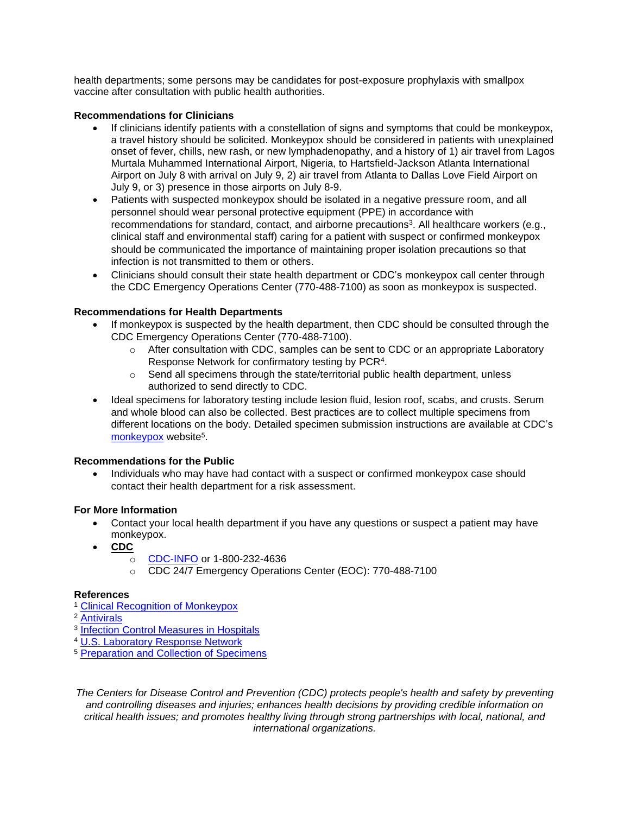health departments; some persons may be candidates for post-exposure prophylaxis with smallpox vaccine after consultation with public health authorities.

### **Recommendations for Clinicians**

- If clinicians identify patients with a constellation of signs and symptoms that could be monkeypox, a travel history should be solicited. Monkeypox should be considered in patients with unexplained onset of fever, chills, new rash, or new lymphadenopathy, and a history of 1) air travel from Lagos Murtala Muhammed International Airport, Nigeria, to Hartsfield-Jackson Atlanta International Airport on July 8 with arrival on July 9, 2) air travel from Atlanta to Dallas Love Field Airport on July 9, or 3) presence in those airports on July 8-9.
- Patients with suspected monkeypox should be isolated in a negative pressure room, and all personnel should wear personal protective equipment (PPE) in accordance with recommendations for standard, contact, and airborne precautions<sup>3</sup>. All healthcare workers (e.g., clinical staff and environmental staff) caring for a patient with suspect or confirmed monkeypox should be communicated the importance of maintaining proper isolation precautions so that infection is not transmitted to them or others.
- Clinicians should consult their state health department or CDC's monkeypox call center through the CDC Emergency Operations Center (770-488-7100) as soon as monkeypox is suspected.

### **Recommendations for Health Departments**

- If monkeypox is suspected by the health department, then CDC should be consulted through the CDC Emergency Operations Center (770-488-7100).
	- $\circ$  After consultation with CDC, samples can be sent to CDC or an appropriate Laboratory Response Network for confirmatory testing by PCR<sup>4</sup>.
	- $\circ$  Send all specimens through the state/territorial public health department, unless authorized to send directly to CDC.
- Ideal specimens for laboratory testing include lesion fluid, lesion roof, scabs, and crusts. Serum and whole blood can also be collected. Best practices are to collect multiple specimens from different locations on the body. Detailed specimen submission instructions are available at CDC's [monkeypox](https://www.cdc.gov/poxvirus/monkeypox/index.html) website<sup>5</sup>.

#### **Recommendations for the Public**

• Individuals who may have had contact with a suspect or confirmed monkeypox case should contact their health department for a risk assessment.

#### **For More Information**

- Contact your local health department if you have any questions or suspect a patient may have monkeypox.
- **CDC**
	- o [CDC-INFO](https://www.cdc.gov/cdc-info/index.html) or 1-800-232-4636
	- o CDC 24/7 Emergency Operations Center (EOC): 770-488-7100

#### **References**

- <sup>1</sup> [Clinical Recognition of Monkeypox](https://www.cdc.gov/poxvirus/monkeypox/clinicians/clinical-recognition.html)
- <sup>2</sup> [Antivirals](https://www.cdc.gov/poxvirus/monkeypox/clinicians/treatment.html)
- <sup>3</sup> [Infection Control Measures in Hospitals](https://www.cdc.gov/poxvirus/monkeypox/clinicians/infection-control-hospital.html)
- <sup>4</sup> [U.S. Laboratory Response Network](https://emergency.cdc.gov/lrn/coverage.asp)
- <sup>5</sup> [Preparation and Collection of Specimens](https://www.cdc.gov/poxvirus/monkeypox/clinicians/prep-collection-specimens.html)

*The Centers for Disease Control and Prevention (CDC) protects people's health and safety by preventing and controlling diseases and injuries; enhances health decisions by providing credible information on critical health issues; and promotes healthy living through strong partnerships with local, national, and international organizations.*